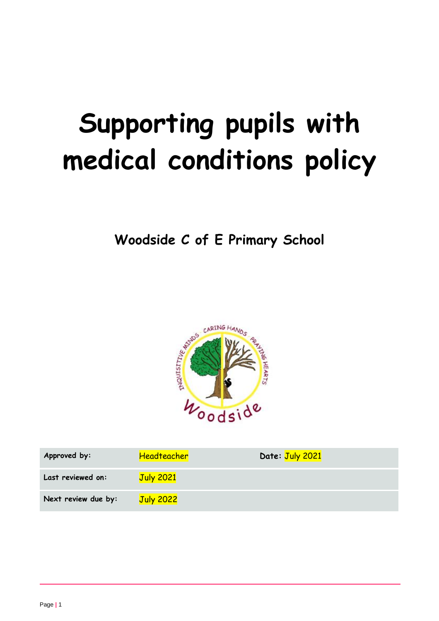# **Supporting pupils with medical conditions policy**

**Woodside C of E Primary School**



| Approved by:        | <b>Headteacher</b> | Date: July 2021 |
|---------------------|--------------------|-----------------|
| Last reviewed on:   | <b>July 2021</b>   |                 |
| Next review due by: | <b>July 2022</b>   |                 |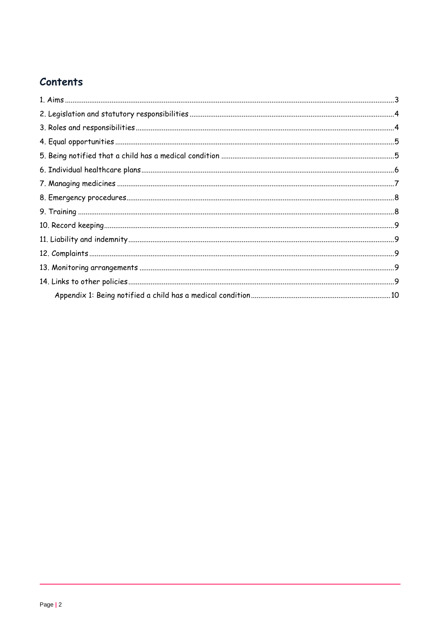# Contents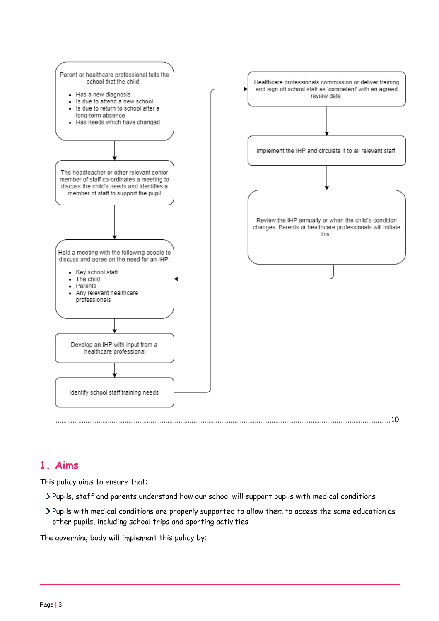

# <span id="page-2-0"></span>**1. Aims**

This policy aims to ensure that:

- Pupils, staff and parents understand how our school will support pupils with medical conditions
- Pupils with medical conditions are properly supported to allow them to access the same education as other pupils, including school trips and sporting activities

The governing body will implement this policy by: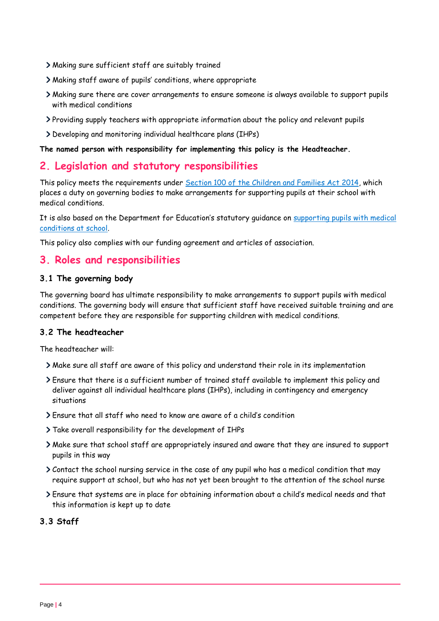- Making sure sufficient staff are suitably trained
- Making staff aware of pupils' conditions, where appropriate
- Making sure there are cover arrangements to ensure someone is always available to support pupils with medical conditions
- Providing supply teachers with appropriate information about the policy and relevant pupils
- Developing and monitoring individual healthcare plans (IHPs)

#### **The named person with responsibility for implementing this policy is the Headteacher.**

## <span id="page-3-0"></span>**2. Legislation and statutory responsibilities**

This policy meets the requirements under [Section 100 of the Children and Families Act 2014,](http://www.legislation.gov.uk/ukpga/2014/6/part/5/crossheading/pupils-with-medical-conditions) which places a duty on governing bodies to make arrangements for supporting pupils at their school with medical conditions.

It is also based on the Department for Education's statutory guidance on supporting pupils with medical [conditions at school.](https://www.gov.uk/government/publications/supporting-pupils-at-school-with-medical-conditions--3)

This policy also complies with our funding agreement and articles of association.

# <span id="page-3-1"></span>**3. Roles and responsibilities**

## **3.1 The governing body**

The governing board has ultimate responsibility to make arrangements to support pupils with medical conditions. The governing body will ensure that sufficient staff have received suitable training and are competent before they are responsible for supporting children with medical conditions.

## **3.2 The headteacher**

The headteacher will:

- Make sure all staff are aware of this policy and understand their role in its implementation
- Ensure that there is a sufficient number of trained staff available to implement this policy and deliver against all individual healthcare plans (IHPs), including in contingency and emergency situations
- Ensure that all staff who need to know are aware of a child's condition
- Take overall responsibility for the development of IHPs
- Make sure that school staff are appropriately insured and aware that they are insured to support pupils in this way
- Contact the school nursing service in the case of any pupil who has a medical condition that may require support at school, but who has not yet been brought to the attention of the school nurse
- Ensure that systems are in place for obtaining information about a child's medical needs and that this information is kept up to date

## **3.3 Staff**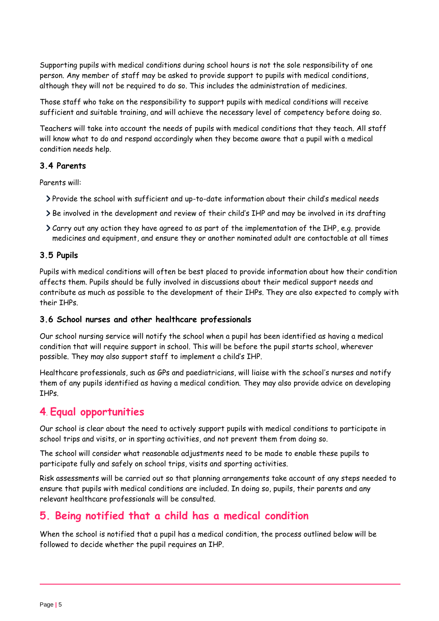Supporting pupils with medical conditions during school hours is not the sole responsibility of one person. Any member of staff may be asked to provide support to pupils with medical conditions, although they will not be required to do so. This includes the administration of medicines.

Those staff who take on the responsibility to support pupils with medical conditions will receive sufficient and suitable training, and will achieve the necessary level of competency before doing so.

Teachers will take into account the needs of pupils with medical conditions that they teach. All staff will know what to do and respond accordingly when they become aware that a pupil with a medical condition needs help.

## **3.4 Parents**

Parents will:

- Provide the school with sufficient and up-to-date information about their child's medical needs
- Be involved in the development and review of their child's IHP and may be involved in its drafting
- Carry out any action they have agreed to as part of the implementation of the IHP, e.g. provide medicines and equipment, and ensure they or another nominated adult are contactable at all times

## **3.5 Pupils**

Pupils with medical conditions will often be best placed to provide information about how their condition affects them. Pupils should be fully involved in discussions about their medical support needs and contribute as much as possible to the development of their IHPs. They are also expected to comply with their IHPs.

#### **3.6 School nurses and other healthcare professionals**

Our school nursing service will notify the school when a pupil has been identified as having a medical condition that will require support in school. This will be before the pupil starts school, wherever possible. They may also support staff to implement a child's IHP.

Healthcare professionals, such as GPs and paediatricians, will liaise with the school's nurses and notify them of any pupils identified as having a medical condition. They may also provide advice on developing IHPs.

# <span id="page-4-0"></span>**4**. **Equal opportunities**

Our school is clear about the need to actively support pupils with medical conditions to participate in school trips and visits, or in sporting activities, and not prevent them from doing so.

The school will consider what reasonable adjustments need to be made to enable these pupils to participate fully and safely on school trips, visits and sporting activities.

Risk assessments will be carried out so that planning arrangements take account of any steps needed to ensure that pupils with medical conditions are included. In doing so, pupils, their parents and any relevant healthcare professionals will be consulted.

# <span id="page-4-1"></span>**5. Being notified that a child has a medical condition**

When the school is notified that a pupil has a medical condition, the process outlined below will be followed to decide whether the pupil requires an IHP.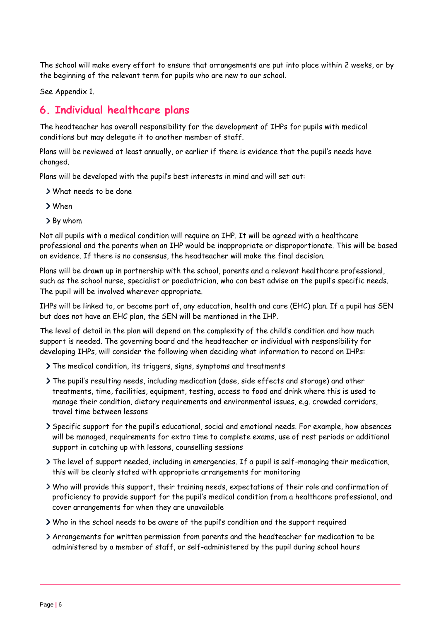The school will make every effort to ensure that arrangements are put into place within 2 weeks, or by the beginning of the relevant term for pupils who are new to our school.

See Appendix 1.

# <span id="page-5-0"></span>**6. Individual healthcare plans**

The headteacher has overall responsibility for the development of IHPs for pupils with medical conditions but may delegate it to another member of staff.

Plans will be reviewed at least annually, or earlier if there is evidence that the pupil's needs have changed.

Plans will be developed with the pupil's best interests in mind and will set out:

- What needs to be done
- When
- By whom

Not all pupils with a medical condition will require an IHP. It will be agreed with a healthcare professional and the parents when an IHP would be inappropriate or disproportionate. This will be based on evidence. If there is no consensus, the headteacher will make the final decision.

Plans will be drawn up in partnership with the school, parents and a relevant healthcare professional, such as the school nurse, specialist or paediatrician, who can best advise on the pupil's specific needs. The pupil will be involved wherever appropriate.

IHPs will be linked to, or become part of, any education, health and care (EHC) plan. If a pupil has SEN but does not have an EHC plan, the SEN will be mentioned in the IHP.

The level of detail in the plan will depend on the complexity of the child's condition and how much support is needed. The governing board and the headteacher or individual with responsibility for developing IHPs, will consider the following when deciding what information to record on IHPs:

The medical condition, its triggers, signs, symptoms and treatments

- The pupil's resulting needs, including medication (dose, side effects and storage) and other treatments, time, facilities, equipment, testing, access to food and drink where this is used to manage their condition, dietary requirements and environmental issues, e.g. crowded corridors, travel time between lessons
- Specific support for the pupil's educational, social and emotional needs. For example, how absences will be managed, requirements for extra time to complete exams, use of rest periods or additional support in catching up with lessons, counselling sessions
- The level of support needed, including in emergencies. If a pupil is self-managing their medication, this will be clearly stated with appropriate arrangements for monitoring
- Who will provide this support, their training needs, expectations of their role and confirmation of proficiency to provide support for the pupil's medical condition from a healthcare professional, and cover arrangements for when they are unavailable
- Who in the school needs to be aware of the pupil's condition and the support required
- Arrangements for written permission from parents and the headteacher for medication to be administered by a member of staff, or self-administered by the pupil during school hours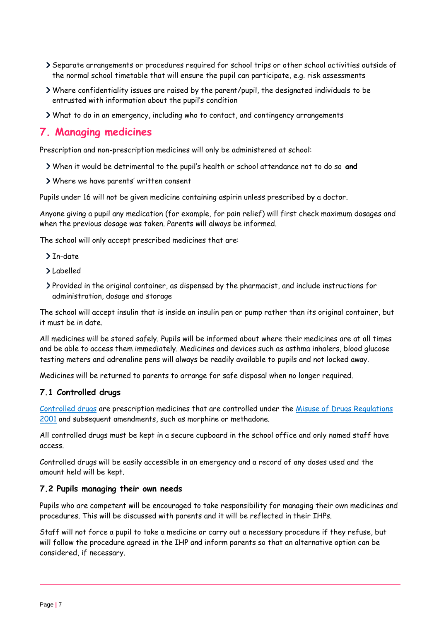- Separate arrangements or procedures required for school trips or other school activities outside of the normal school timetable that will ensure the pupil can participate, e.g. risk assessments
- Where confidentiality issues are raised by the parent/pupil, the designated individuals to be entrusted with information about the pupil's condition
- What to do in an emergency, including who to contact, and contingency arrangements

# <span id="page-6-0"></span>**7. Managing medicines**

Prescription and non-prescription medicines will only be administered at school:

- When it would be detrimental to the pupil's health or school attendance not to do so **and**
- Where we have parents' written consent

Pupils under 16 will not be given medicine containing aspirin unless prescribed by a doctor.

Anyone giving a pupil any medication (for example, for pain relief) will first check maximum dosages and when the previous dosage was taken. Parents will always be informed.

The school will only accept prescribed medicines that are:

- $\sum_{n=1}^{\infty}$
- Labelled
- Provided in the original container, as dispensed by the pharmacist, and include instructions for administration, dosage and storage

The school will accept insulin that is inside an insulin pen or pump rather than its original container, but it must be in date.

All medicines will be stored safely. Pupils will be informed about where their medicines are at all times and be able to access them immediately. Medicines and devices such as asthma inhalers, blood glucose testing meters and adrenaline pens will always be readily available to pupils and not locked away.

Medicines will be returned to parents to arrange for safe disposal when no longer required.

#### **7.1 Controlled drugs**

[Controlled drugs](http://www.nhs.uk/chq/Pages/1391.aspx?CategoryID=73) are prescription medicines that are controlled under the [Misuse of Drugs Regulations](http://www.legislation.gov.uk/uksi/2001/3998/schedule/1/made)  [2001](http://www.legislation.gov.uk/uksi/2001/3998/schedule/1/made) and subsequent amendments, such as morphine or methadone.

All controlled drugs must be kept in a secure cupboard in the school office and only named staff have access.

Controlled drugs will be easily accessible in an emergency and a record of any doses used and the amount held will be kept.

#### **7.2 Pupils managing their own needs**

Pupils who are competent will be encouraged to take responsibility for managing their own medicines and procedures. This will be discussed with parents and it will be reflected in their IHPs.

Staff will not force a pupil to take a medicine or carry out a necessary procedure if they refuse, but will follow the procedure agreed in the IHP and inform parents so that an alternative option can be considered, if necessary.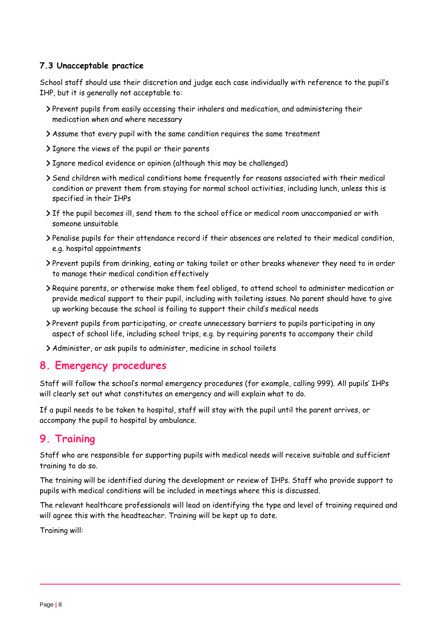## **7.3 Unacceptable practice**

School staff should use their discretion and judge each case individually with reference to the pupil's IHP, but it is generally not acceptable to:

- Prevent pupils from easily accessing their inhalers and medication, and administering their medication when and where necessary
- Assume that every pupil with the same condition requires the same treatment
- I gnore the views of the pupil or their parents
- Ignore medical evidence or opinion (although this may be challenged)
- Send children with medical conditions home frequently for reasons associated with their medical condition or prevent them from staying for normal school activities, including lunch, unless this is specified in their IHPs
- If the pupil becomes ill, send them to the school office or medical room unaccompanied or with someone unsuitable
- Penalise pupils for their attendance record if their absences are related to their medical condition, e.g. hospital appointments
- Prevent pupils from drinking, eating or taking toilet or other breaks whenever they need to in order to manage their medical condition effectively
- Require parents, or otherwise make them feel obliged, to attend school to administer medication or provide medical support to their pupil, including with toileting issues. No parent should have to give up working because the school is failing to support their child's medical needs
- Prevent pupils from participating, or create unnecessary barriers to pupils participating in any aspect of school life, including school trips, e.g. by requiring parents to accompany their child
- Administer, or ask pupils to administer, medicine in school toilets

# <span id="page-7-0"></span>**8. Emergency procedures**

Staff will follow the school's normal emergency procedures (for example, calling 999). All pupils' IHPs will clearly set out what constitutes an emergency and will explain what to do.

If a pupil needs to be taken to hospital, staff will stay with the pupil until the parent arrives, or accompany the pupil to hospital by ambulance.

# <span id="page-7-1"></span>**9. Training**

Staff who are responsible for supporting pupils with medical needs will receive suitable and sufficient training to do so.

The training will be identified during the development or review of IHPs. Staff who provide support to pupils with medical conditions will be included in meetings where this is discussed.

The relevant healthcare professionals will lead on identifying the type and level of training required and will agree this with the headteacher. Training will be kept up to date.

Training will: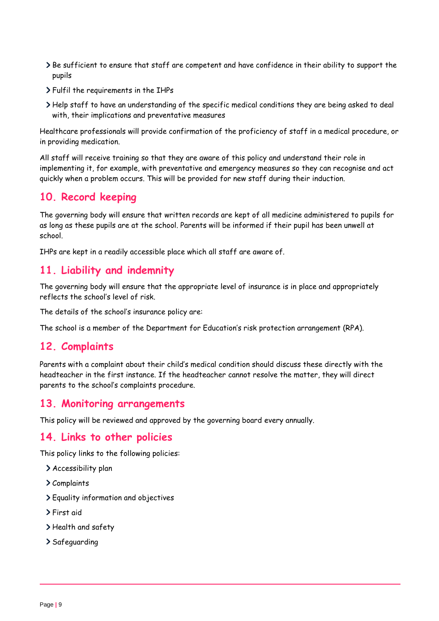- > Be sufficient to ensure that staff are competent and have confidence in their ability to support the pupils
- Fulfil the requirements in the IHPs
- Help staff to have an understanding of the specific medical conditions they are being asked to deal with, their implications and preventative measures

Healthcare professionals will provide confirmation of the proficiency of staff in a medical procedure, or in providing medication.

All staff will receive training so that they are aware of this policy and understand their role in implementing it, for example, with preventative and emergency measures so they can recognise and act quickly when a problem occurs. This will be provided for new staff during their induction.

# <span id="page-8-0"></span>**10. Record keeping**

The governing body will ensure that written records are kept of all medicine administered to pupils for as long as these pupils are at the school. Parents will be informed if their pupil has been unwell at school.

IHPs are kept in a readily accessible place which all staff are aware of.

# <span id="page-8-1"></span>**11. Liability and indemnity**

The governing body will ensure that the appropriate level of insurance is in place and appropriately reflects the school's level of risk.

The details of the school's insurance policy are:

The school is a member of the Department for Education's risk protection arrangement (RPA).

# <span id="page-8-2"></span>**12. Complaints**

Parents with a complaint about their child's medical condition should discuss these directly with the headteacher in the first instance. If the headteacher cannot resolve the matter, they will direct parents to the school's complaints procedure.

# <span id="page-8-3"></span>**13. Monitoring arrangements**

This policy will be reviewed and approved by the governing board every annually.

# <span id="page-8-4"></span>**14. Links to other policies**

This policy links to the following policies:

- Accessibility plan
- Complaints
- Equality information and objectives
- First aid
- > Health and safety
- > Safeguarding